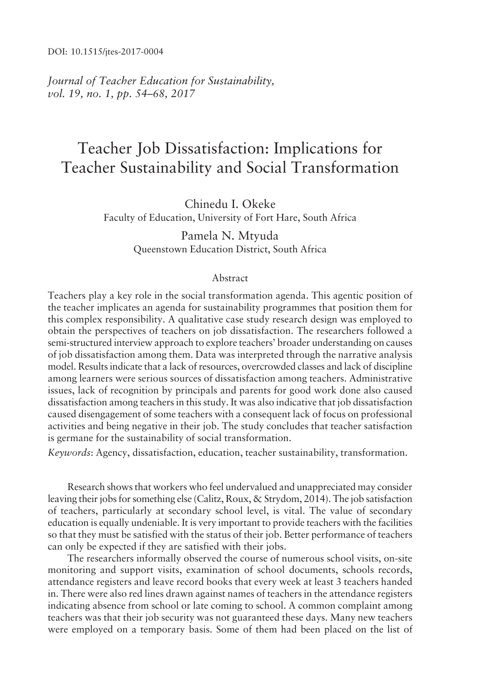DOI: 10.1515/jtes-2017-0004

*Journal of Teacher Education for Sustainability, vol.* 19, *no.* 1, *pp.* 54–68, 2017

# Teacher Job Dissatisfaction: Implications for Teacher Sustainability and Social Transformation

Chinedu I. Okeke Faculty of Education, University of Fort Hare, South Africa

> Pamela N. Mtyuda Queenstown Education District, South Africa

## Abstract

Teachers play a key role in the social transformation agenda. This agentic position of the teacher implicates an agenda for sustainability programmes that position them for this complex responsibility. A qualitative case study research design was employed to obtain the perspectives of teachers on job dissatisfaction. The researchers followed a semi-structured interview approach to explore teachers' broader understanding on causes of job dissatisfaction among them. Data was interpreted through the narrative analysis model. Results indicate that a lack of resources, overcrowded classes and lack of discipline among learners were serious sources of dissatisfaction among teachers. Administrative issues, lack of recognition by principals and parents for good work done also caused dissatisfaction among teachers in this study. It was also indicative that job dissatisfaction caused disengagement of some teachers with a consequent lack of focus on professional activities and being negative in their job. The study concludes that teacher satisfaction is germane for the sustainability of social transformation.

*Keywords*: Agency, dissatisfaction, education, teacher sustainability, transformation.

Research shows that workers who feel undervalued and unappreciated may consider leaving their jobs for something else (Calitz, Roux, & Strydom, 2014). The job satisfaction of teachers, particularly at secondary school level, is vital. The value of secondary education is equally undeniable. It is very important to provide teachers with the facilities so that they must be satisfied with the status of their job. Better performance of teachers can only be expected if they are satisfied with their jobs.

The researchers informally observed the course of numerous school visits, on-site monitoring and support visits, examination of school documents, schools records, attendance registers and leave record books that every week at least 3 teachers handed in. There were also red lines drawn against names of teachers in the attendance registers indicating absence from school or late coming to school. A common complaint among teachers was that their job security was not guaranteed these days. Many new teachers were employed on a temporary basis. Some of them had been placed on the list of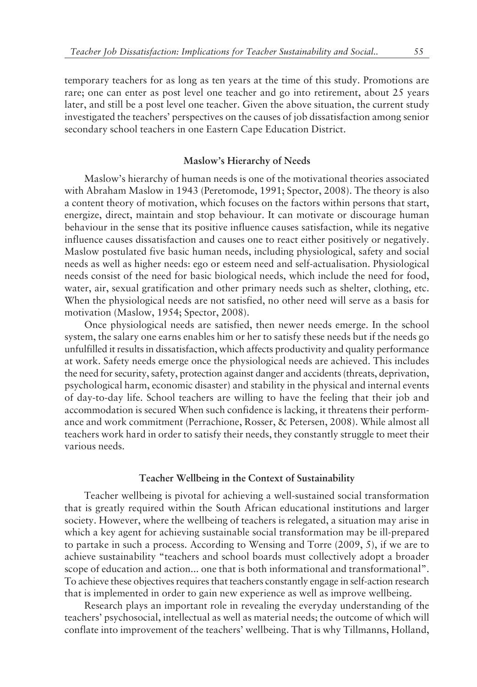temporary teachers for as long as ten years at the time of this study. Promotions are rare; one can enter as post level one teacher and go into retirement, about 25 years later, and still be a post level one teacher. Given the above situation, the current study investigated the teachers' perspectives on the causes of job dissatisfaction among senior secondary school teachers in one Eastern Cape Education District.

## **Maslow's Hierarchy of Needs**

Maslow's hierarchy of human needs is one of the motivational theories associated with Abraham Maslow in 1943 (Peretomode, 1991; Spector, 2008). The theory is also a content theory of motivation, which focuses on the factors within persons that start, energize, direct, maintain and stop behaviour. It can motivate or discourage human behaviour in the sense that its positive influence causes satisfaction, while its negative influence causes dissatisfaction and causes one to react either positively or negatively. Maslow postulated five basic human needs, including physiological, safety and social needs as well as higher needs: ego or esteem need and self-actualisation. Physiological needs consist of the need for basic biological needs, which include the need for food, water, air, sexual gratification and other primary needs such as shelter, clothing, etc. When the physiological needs are not satisfied, no other need will serve as a basis for motivation (Maslow, 1954; Spector, 2008).

Once physiological needs are satisfied, then newer needs emerge. In the school system, the salary one earns enables him or her to satisfy these needs but if the needs go unfulfilled it results in dissatisfaction, which affects productivity and quality performance at work. Safety needs emerge once the physiological needs are achieved. This includes the need for security, safety, protection against danger and accidents (threats, deprivation, psychological harm, economic disaster) and stability in the physical and internal events of day-to-day life. School teachers are willing to have the feeling that their job and accommodation is secured When such confidence is lacking, it threatens their performance and work commitment (Perrachione, Rosser, & Petersen, 2008). While almost all teachers work hard in order to satisfy their needs, they constantly struggle to meet their various needs.

#### **Teacher Wellbeing in the Context of Sustainability**

Teacher wellbeing is pivotal for achieving a well-sustained social transformation that is greatly required within the South African educational institutions and larger society. However, where the wellbeing of teachers is relegated, a situation may arise in which a key agent for achieving sustainable social transformation may be ill-prepared to partake in such a process. According to Wensing and Torre (2009, 5), if we are to achieve sustainability "teachers and school boards must collectively adopt a broader scope of education and action... one that is both informational and transformational". To achieve these objectives requires that teachers constantly engage in self-action research that is implemented in order to gain new experience as well as improve wellbeing.

Research plays an important role in revealing the everyday understanding of the teachersí psychosocial, intellectual as well as material needs; the outcome of which will conflate into improvement of the teachers' wellbeing. That is why Tillmanns, Holland,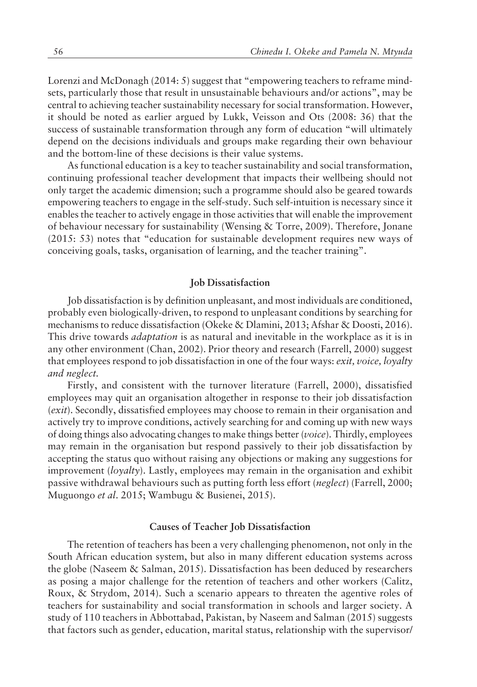Lorenzi and McDonagh  $(2014:5)$  suggest that "empowering teachers to reframe mindsets, particularly those that result in unsustainable behaviours and/or actions", may be central to achieving teacher sustainability necessary for social transformation. However, it should be noted as earlier argued by Lukk, Veisson and Ots (2008: 36) that the success of sustainable transformation through any form of education "will ultimately depend on the decisions individuals and groups make regarding their own behaviour and the bottom-line of these decisions is their value systems.

As functional education is a key to teacher sustainability and social transformation, continuing professional teacher development that impacts their wellbeing should not only target the academic dimension; such a programme should also be geared towards empowering teachers to engage in the self-study. Such self-intuition is necessary since it enables the teacher to actively engage in those activities that will enable the improvement of behaviour necessary for sustainability (Wensing & Torre, 2009). Therefore, Jonane  $(2015: 53)$  notes that "education for sustainable development requires new ways of conceiving goals, tasks, organisation of learning, and the teacher training".

#### **Job Dissatisfaction**

Job dissatisfaction is by definition unpleasant, and most individuals are conditioned, probably even biologically-driven, to respond to unpleasant conditions by searching for mechanisms to reduce dissatisfaction (Okeke & Dlamini, 2013; Afshar & Doosti, 2016). This drive towards *adaptation* is as natural and inevitable in the workplace as it is in any other environment (Chan, 2002). Prior theory and research (Farrell, 2000) suggest that employees respond to job dissatisfaction in one of the four ways: *exit, voice, loyalty and neglect.*

Firstly, and consistent with the turnover literature (Farrell, 2000), dissatisfied employees may quit an organisation altogether in response to their job dissatisfaction (*exit*). Secondly, dissatisfied employees may choose to remain in their organisation and actively try to improve conditions, actively searching for and coming up with new ways of doing things also advocating changes to make things better (*voice*). Thirdly, employees may remain in the organisation but respond passively to their job dissatisfaction by accepting the status quo without raising any objections or making any suggestions for improvement (*loyalty*). Lastly, employees may remain in the organisation and exhibit passive withdrawal behaviours such as putting forth less effort (*neglect*) (Farrell, 2000; Muguongo *et al*. 2015; Wambugu & Busienei, 2015).

## **Causes of Teacher Job Dissatisfaction**

The retention of teachers has been a very challenging phenomenon, not only in the South African education system, but also in many different education systems across the globe (Naseem & Salman, 2015). Dissatisfaction has been deduced by researchers as posing a major challenge for the retention of teachers and other workers (Calitz, Roux, & Strydom, 2014). Such a scenario appears to threaten the agentive roles of teachers for sustainability and social transformation in schools and larger society. A study of 110 teachers in Abbottabad, Pakistan, by Naseem and Salman (2015) suggests that factors such as gender, education, marital status, relationship with the supervisor/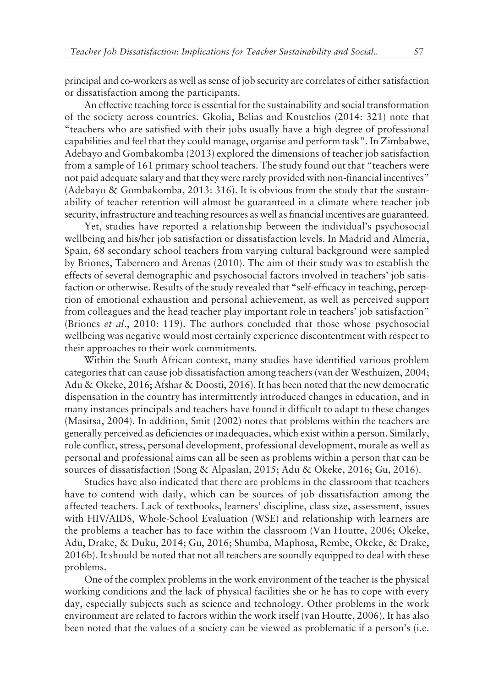principal and co-workers as well as sense of job security are correlates of either satisfaction or dissatisfaction among the participants.

An effective teaching force is essential for the sustainability and social transformation of the society across countries. Gkolia, Belias and Koustelios (2014: 321) note that ìteachers who are satisfied with their jobs usually have a high degree of professional capabilities and feel that they could manage, organise and perform task". In Zimbabwe, Adebayo and Gombakomba (2013) explored the dimensions of teacher job satisfaction from a sample of 161 primary school teachers. The study found out that "teachers were not paid adequate salary and that they were rarely provided with non-financial incentives" (Adebayo & Gombakomba, 2013: 316). It is obvious from the study that the sustainability of teacher retention will almost be guaranteed in a climate where teacher job security, infrastructure and teaching resources as well as financial incentives are guaranteed.

Yet, studies have reported a relationship between the individual's psychosocial wellbeing and his/her job satisfaction or dissatisfaction levels. In Madrid and Almeria, Spain, 68 secondary school teachers from varying cultural background were sampled by Briones, Tabernero and Arenas (2010). The aim of their study was to establish the effects of several demographic and psychosocial factors involved in teachers' job satisfaction or otherwise. Results of the study revealed that "self-efficacy in teaching, perception of emotional exhaustion and personal achievement, as well as perceived support from colleagues and the head teacher play important role in teachers' job satisfaction" (Briones *et al*., 2010: 119). The authors concluded that those whose psychosocial wellbeing was negative would most certainly experience discontentment with respect to their approaches to their work commitments.

Within the South African context, many studies have identified various problem categories that can cause job dissatisfaction among teachers (van der Westhuizen, 2004; Adu & Okeke, 2016; Afshar & Doosti, 2016). It has been noted that the new democratic dispensation in the country has intermittently introduced changes in education, and in many instances principals and teachers have found it difficult to adapt to these changes (Masitsa, 2004). In addition, Smit (2002) notes that problems within the teachers are generally perceived as deficiencies or inadequacies, which exist within a person. Similarly, role conflict, stress, personal development, professional development, morale as well as personal and professional aims can all be seen as problems within a person that can be sources of dissatisfaction (Song & Alpaslan, 2015; Adu & Okeke, 2016; Gu, 2016).

Studies have also indicated that there are problems in the classroom that teachers have to contend with daily, which can be sources of job dissatisfaction among the affected teachers. Lack of textbooks, learnersí discipline, class size, assessment, issues with HIV/AIDS, Whole-School Evaluation (WSE) and relationship with learners are the problems a teacher has to face within the classroom (Van Houtte, 2006; Okeke, Adu, Drake, & Duku, 2014; Gu, 2016; Shumba, Maphosa, Rembe, Okeke, & Drake, 2016b). It should be noted that not all teachers are soundly equipped to deal with these problems.

One of the complex problems in the work environment of the teacher is the physical working conditions and the lack of physical facilities she or he has to cope with every day, especially subjects such as science and technology. Other problems in the work environment are related to factors within the work itself (van Houtte, 2006). It has also been noted that the values of a society can be viewed as problematic if a person's (i.e.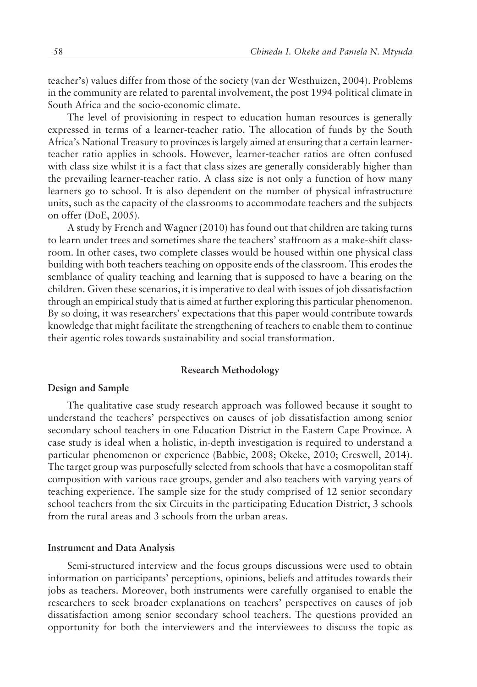teacher's) values differ from those of the society (van der Westhuizen, 2004). Problems in the community are related to parental involvement, the post 1994 political climate in South Africa and the socio-economic climate.

The level of provisioning in respect to education human resources is generally expressed in terms of a learner-teacher ratio. The allocation of funds by the South Africa's National Treasury to provinces is largely aimed at ensuring that a certain learnerteacher ratio applies in schools. However, learner-teacher ratios are often confused with class size whilst it is a fact that class sizes are generally considerably higher than the prevailing learner-teacher ratio. A class size is not only a function of how many learners go to school. It is also dependent on the number of physical infrastructure units, such as the capacity of the classrooms to accommodate teachers and the subjects on offer (DoE, 2005).

A study by French and Wagner (2010) has found out that children are taking turns to learn under trees and sometimes share the teachers' staffroom as a make-shift classroom. In other cases, two complete classes would be housed within one physical class building with both teachers teaching on opposite ends of the classroom. This erodes the semblance of quality teaching and learning that is supposed to have a bearing on the children. Given these scenarios, it is imperative to deal with issues of job dissatisfaction through an empirical study that is aimed at further exploring this particular phenomenon. By so doing, it was researchers' expectations that this paper would contribute towards knowledge that might facilitate the strengthening of teachers to enable them to continue their agentic roles towards sustainability and social transformation.

### **Research Methodology**

### **Design and Sample**

The qualitative case study research approach was followed because it sought to understand the teachers' perspectives on causes of job dissatisfaction among senior secondary school teachers in one Education District in the Eastern Cape Province. A case study is ideal when a holistic, in-depth investigation is required to understand a particular phenomenon or experience (Babbie, 2008; Okeke, 2010; Creswell, 2014). The target group was purposefully selected from schools that have a cosmopolitan staff composition with various race groups, gender and also teachers with varying years of teaching experience. The sample size for the study comprised of 12 senior secondary school teachers from the six Circuits in the participating Education District, 3 schools from the rural areas and 3 schools from the urban areas.

#### **Instrument and Data Analysis**

Semi-structured interview and the focus groups discussions were used to obtain information on participants' perceptions, opinions, beliefs and attitudes towards their jobs as teachers. Moreover, both instruments were carefully organised to enable the researchers to seek broader explanations on teachers' perspectives on causes of job dissatisfaction among senior secondary school teachers. The questions provided an opportunity for both the interviewers and the interviewees to discuss the topic as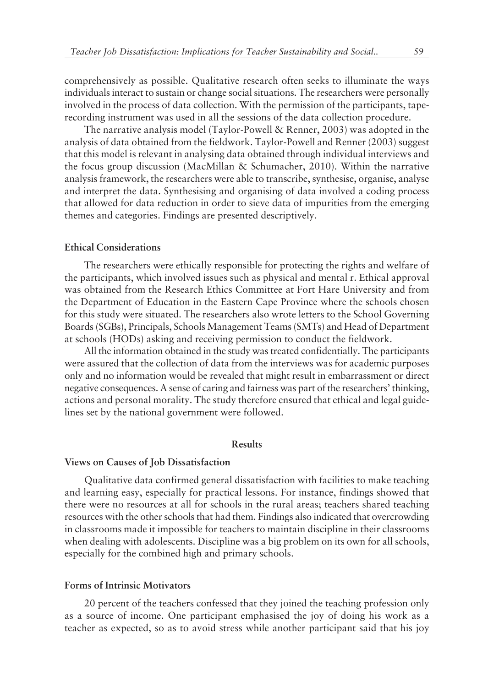comprehensively as possible. Qualitative research often seeks to illuminate the ways individuals interact to sustain or change social situations. The researchers were personally involved in the process of data collection. With the permission of the participants, taperecording instrument was used in all the sessions of the data collection procedure.

The narrative analysis model (Taylor-Powell & Renner, 2003) was adopted in the analysis of data obtained from the fieldwork. Taylor-Powell and Renner (2003) suggest that this model is relevant in analysing data obtained through individual interviews and the focus group discussion (MacMillan & Schumacher, 2010). Within the narrative analysis framework, the researchers were able to transcribe, synthesise, organise, analyse and interpret the data. Synthesising and organising of data involved a coding process that allowed for data reduction in order to sieve data of impurities from the emerging themes and categories. Findings are presented descriptively.

## **Ethical Considerations**

The researchers were ethically responsible for protecting the rights and welfare of the participants, which involved issues such as physical and mental r. Ethical approval was obtained from the Research Ethics Committee at Fort Hare University and from the Department of Education in the Eastern Cape Province where the schools chosen for this study were situated. The researchers also wrote letters to the School Governing Boards (SGBs), Principals, Schools Management Teams (SMTs) and Head of Department at schools (HODs) asking and receiving permission to conduct the fieldwork.

All the information obtained in the study was treated confidentially.The participants were assured that the collection of data from the interviews was for academic purposes only and no information would be revealed that might result in embarrassment or direct negative consequences. A sense of caring and fairness was part of the researchers' thinking, actions and personal morality. The study therefore ensured that ethical and legal guidelines set by the national government were followed.

# **Results**

#### **Views on Causes of Job Dissatisfaction**

Qualitative data confirmed general dissatisfaction with facilities to make teaching and learning easy, especially for practical lessons. For instance, findings showed that there were no resources at all for schools in the rural areas; teachers shared teaching resources with the other schools that had them. Findings also indicated that overcrowding in classrooms made it impossible for teachers to maintain discipline in their classrooms when dealing with adolescents. Discipline was a big problem on its own for all schools, especially for the combined high and primary schools.

## **Forms of Intrinsic Motivators**

20 percent of the teachers confessed that they joined the teaching profession only as a source of income. One participant emphasised the joy of doing his work as a teacher as expected, so as to avoid stress while another participant said that his joy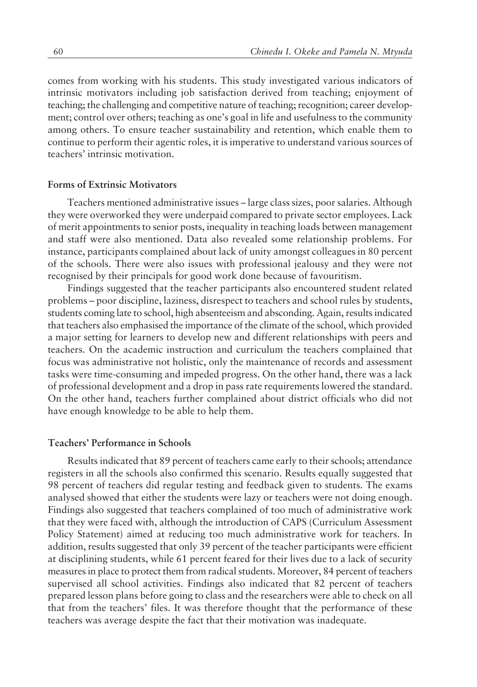comes from working with his students. This study investigated various indicators of intrinsic motivators including job satisfaction derived from teaching; enjoyment of teaching; the challenging and competitive nature of teaching; recognition; career development; control over others; teaching as one's goal in life and usefulness to the community among others. To ensure teacher sustainability and retention, which enable them to continue to perform their agentic roles, it is imperative to understand various sources of teachers' intrinsic motivation.

#### **Forms of Extrinsic Motivators**

Teachers mentioned administrative issues - large class sizes, poor salaries. Although they were overworked they were underpaid compared to private sector employees. Lack of merit appointments to senior posts, inequality in teaching loads between management and staff were also mentioned. Data also revealed some relationship problems. For instance, participants complained about lack of unity amongst colleagues in 80 percent of the schools. There were also issues with professional jealousy and they were not recognised by their principals for good work done because of favouritism.

Findings suggested that the teacher participants also encountered student related problems - poor discipline, laziness, disrespect to teachers and school rules by students, students coming late to school, high absenteeism and absconding. Again, results indicated that teachers also emphasised the importance of the climate of the school, which provided a major setting for learners to develop new and different relationships with peers and teachers. On the academic instruction and curriculum the teachers complained that focus was administrative not holistic, only the maintenance of records and assessment tasks were time-consuming and impeded progress. On the other hand, there was a lack of professional development and a drop in pass rate requirements lowered the standard. On the other hand, teachers further complained about district officials who did not have enough knowledge to be able to help them.

#### **Teachersí Performance in Schools**

Results indicated that 89 percent of teachers came early to their schools; attendance registers in all the schools also confirmed this scenario. Results equally suggested that 98 percent of teachers did regular testing and feedback given to students. The exams analysed showed that either the students were lazy or teachers were not doing enough. Findings also suggested that teachers complained of too much of administrative work that they were faced with, although the introduction of CAPS (Curriculum Assessment Policy Statement) aimed at reducing too much administrative work for teachers. In addition, results suggested that only 39 percent of the teacher participants were efficient at disciplining students, while 61 percent feared for their lives due to a lack of security measures in place to protect them from radical students. Moreover, 84 percent of teachers supervised all school activities. Findings also indicated that 82 percent of teachers prepared lesson plans before going to class and the researchers were able to check on all that from the teachers' files. It was therefore thought that the performance of these teachers was average despite the fact that their motivation was inadequate.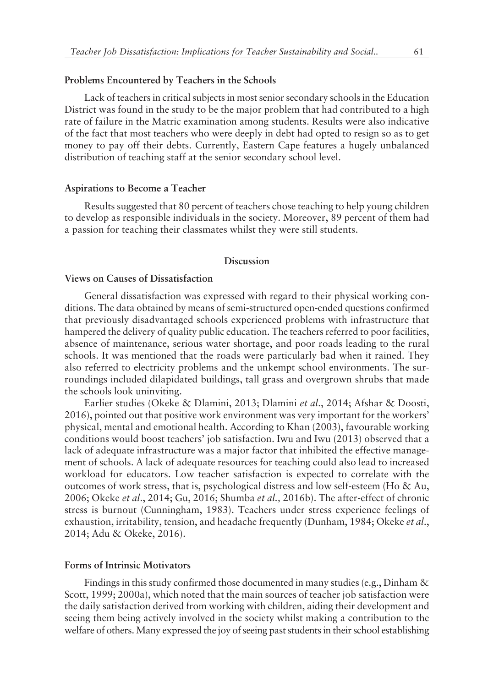#### **Problems Encountered by Teachers in the Schools**

Lack of teachers in critical subjects in most senior secondary schools in the Education District was found in the study to be the major problem that had contributed to a high rate of failure in the Matric examination among students. Results were also indicative of the fact that most teachers who were deeply in debt had opted to resign so as to get money to pay off their debts. Currently, Eastern Cape features a hugely unbalanced distribution of teaching staff at the senior secondary school level.

#### **Aspirations to Become a Teacher**

Results suggested that 80 percent of teachers chose teaching to help young children to develop as responsible individuals in the society. Moreover, 89 percent of them had a passion for teaching their classmates whilst they were still students.

#### **Discussion**

# **Views on Causes of Dissatisfaction**

General dissatisfaction was expressed with regard to their physical working conditions. The data obtained by means of semi-structured open-ended questions confirmed that previously disadvantaged schools experienced problems with infrastructure that hampered the delivery of quality public education. The teachers referred to poor facilities, absence of maintenance, serious water shortage, and poor roads leading to the rural schools. It was mentioned that the roads were particularly bad when it rained. They also referred to electricity problems and the unkempt school environments. The surroundings included dilapidated buildings, tall grass and overgrown shrubs that made the schools look uninviting.

Earlier studies (Okeke & Dlamini, 2013; Dlamini *et al*., 2014; Afshar & Doosti, 2016), pointed out that positive work environment was very important for the workers' physical, mental and emotional health. According to Khan (2003), favourable working conditions would boost teachersí job satisfaction. Iwu and Iwu (2013) observed that a lack of adequate infrastructure was a major factor that inhibited the effective management of schools. A lack of adequate resources for teaching could also lead to increased workload for educators. Low teacher satisfaction is expected to correlate with the outcomes of work stress, that is, psychological distress and low self-esteem (Ho  $\&$  Au, 2006; Okeke *et al*., 2014; Gu, 2016; Shumba *et al.,* 2016b). The after-effect of chronic stress is burnout (Cunningham, 1983). Teachers under stress experience feelings of exhaustion, irritability, tension, and headache frequently (Dunham, 1984; Okeke *et al*., 2014; Adu & Okeke, 2016).

#### **Forms of Intrinsic Motivators**

Findings in this study confirmed those documented in many studies (e.g., Dinham & Scott, 1999; 2000a), which noted that the main sources of teacher job satisfaction were the daily satisfaction derived from working with children, aiding their development and seeing them being actively involved in the society whilst making a contribution to the welfare of others. Many expressed the joy of seeing past students in their school establishing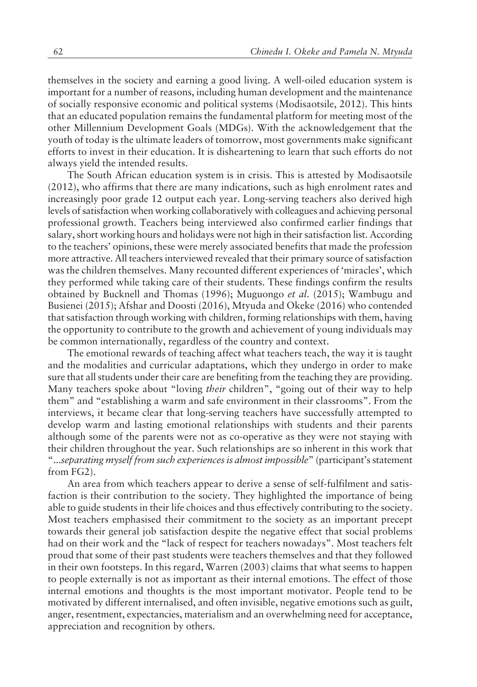themselves in the society and earning a good living. A well-oiled education system is important for a number of reasons, including human development and the maintenance of socially responsive economic and political systems (Modisaotsile, 2012). This hints that an educated population remains the fundamental platform for meeting most of the other Millennium Development Goals (MDGs). With the acknowledgement that the youth of today is the ultimate leaders of tomorrow, most governments make significant efforts to invest in their education. It is disheartening to learn that such efforts do not always yield the intended results.

The South African education system is in crisis. This is attested by Modisaotsile (2012), who affirms that there are many indications, such as high enrolment rates and increasingly poor grade 12 output each year. Long-serving teachers also derived high levels of satisfaction when working collaboratively with colleagues and achieving personal professional growth. Teachers being interviewed also confirmed earlier findings that salary, short working hours and holidays were not high in their satisfaction list. According to the teachers' opinions, these were merely associated benefits that made the profession more attractive. All teachers interviewed revealed that their primary source of satisfaction was the children themselves. Many recounted different experiences of 'miracles', which they performed while taking care of their students. These findings confirm the results obtained by Bucknell and Thomas (1996); Muguongo *et al.* (2015); Wambugu and Busienei (2015); Afshar and Doosti (2016), Mtyuda and Okeke (2016) who contended that satisfaction through working with children, forming relationships with them, having the opportunity to contribute to the growth and achievement of young individuals may be common internationally, regardless of the country and context.

The emotional rewards of teaching affect what teachers teach, the way it is taught and the modalities and curricular adaptations, which they undergo in order to make sure that all students under their care are benefiting from the teaching they are providing. Many teachers spoke about "loving *their children"*, "going out of their way to help them" and "establishing a warm and safe environment in their classrooms". From the interviews, it became clear that long-serving teachers have successfully attempted to develop warm and lasting emotional relationships with students and their parents although some of the parents were not as co-operative as they were not staying with their children throughout the year. Such relationships are so inherent in this work that ì...*separating myself from such experiences is almost impossible*î (participantís statement from FG2).

An area from which teachers appear to derive a sense of self-fulfilment and satisfaction is their contribution to the society. They highlighted the importance of being able to guide students in their life choices and thus effectively contributing to the society. Most teachers emphasised their commitment to the society as an important precept towards their general job satisfaction despite the negative effect that social problems had on their work and the "lack of respect for teachers nowadays". Most teachers felt proud that some of their past students were teachers themselves and that they followed in their own footsteps. In this regard, Warren (2003) claims that what seems to happen to people externally is not as important as their internal emotions. The effect of those internal emotions and thoughts is the most important motivator. People tend to be motivated by different internalised, and often invisible, negative emotions such as guilt, anger, resentment, expectancies, materialism and an overwhelming need for acceptance, appreciation and recognition by others.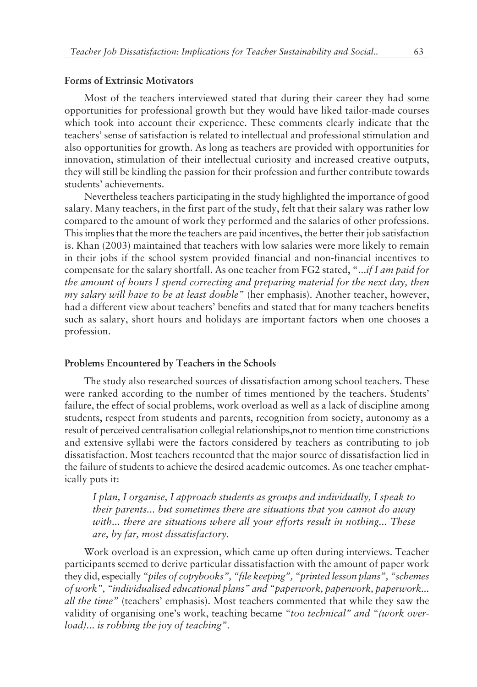### **Forms of Extrinsic Motivators**

Most of the teachers interviewed stated that during their career they had some opportunities for professional growth but they would have liked tailor-made courses which took into account their experience. These comments clearly indicate that the teachersí sense of satisfaction is related to intellectual and professional stimulation and also opportunities for growth. As long as teachers are provided with opportunities for innovation, stimulation of their intellectual curiosity and increased creative outputs, they will still be kindling the passion for their profession and further contribute towards students' achievements.

Nevertheless teachers participating in the study highlighted the importance of good salary. Many teachers, in the first part of the study, felt that their salary was rather low compared to the amount of work they performed and the salaries of other professions. This implies that the more the teachers are paid incentives, the better their job satisfaction is. Khan (2003) maintained that teachers with low salaries were more likely to remain in their jobs if the school system provided financial and non-financial incentives to compensate for the salary shortfall. As one teacher from FG2 stated, "...*if I am paid for the amount of hours I spend correcting and preparing material for the next day, then my salary will have to be at least double*" (her emphasis). Another teacher, however, had a different view about teachers' benefits and stated that for many teachers benefits such as salary, short hours and holidays are important factors when one chooses a profession.

#### **Problems Encountered by Teachers in the Schools**

The study also researched sources of dissatisfaction among school teachers. These were ranked according to the number of times mentioned by the teachers. Students' failure, the effect of social problems, work overload as well as a lack of discipline among students, respect from students and parents, recognition from society, autonomy as a result of perceived centralisation collegial relationships,not to mention time constrictions and extensive syllabi were the factors considered by teachers as contributing to job dissatisfaction. Most teachers recounted that the major source of dissatisfaction lied in the failure of students to achieve the desired academic outcomes. As one teacher emphatically puts it:

*I plan, I organise, I approach students as groups and individually, I speak to their parents... but sometimes there are situations that you cannot do away with... there are situations where all your efforts result in nothing... These are, by far, most dissatisfactory.*

Work overload is an expression, which came up often during interviews. Teacher participants seemed to derive particular dissatisfaction with the amount of paper work they did, especially "piles of copybooks", "file keeping", "printed lesson plans", "schemes *of workî, ìindividualised educational plansî and ìpaperwork, paperwork, paperwork... all the time*" (teachers' emphasis). Most teachers commented that while they saw the validity of organising one's work, teaching became "too technical" and "(work over*load*)... *is robbing the joy of teaching*".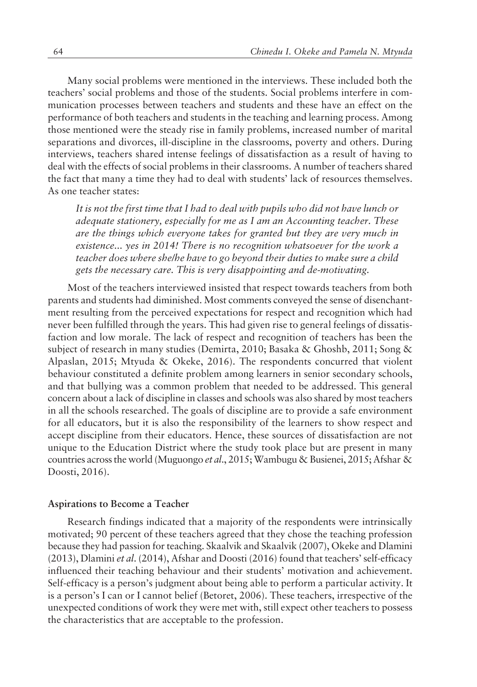Many social problems were mentioned in the interviews. These included both the teachers' social problems and those of the students. Social problems interfere in communication processes between teachers and students and these have an effect on the performance of both teachers and students in the teaching and learning process. Among those mentioned were the steady rise in family problems, increased number of marital separations and divorces, ill-discipline in the classrooms, poverty and others. During interviews, teachers shared intense feelings of dissatisfaction as a result of having to deal with the effects of social problems in their classrooms. A number of teachers shared the fact that many a time they had to deal with students' lack of resources themselves. As one teacher states:

*It is not the first time that I had to deal with pupils who did not have lunch or adequate stationery, especially for me as I am an Accounting teacher. These are the things which everyone takes for granted but they are very much in existence... yes in 2014! There is no recognition whatsoever for the work a teacher does where she/he have to go beyond their duties to make sure a child gets the necessary care. This is very disappointing and de-motivating.*

Most of the teachers interviewed insisted that respect towards teachers from both parents and students had diminished. Most comments conveyed the sense of disenchantment resulting from the perceived expectations for respect and recognition which had never been fulfilled through the years. This had given rise to general feelings of dissatisfaction and low morale. The lack of respect and recognition of teachers has been the subject of research in many studies (Demirta, 2010; Basaka & Ghoshb, 2011; Song & Alpaslan, 2015; Mtyuda & Okeke, 2016). The respondents concurred that violent behaviour constituted a definite problem among learners in senior secondary schools, and that bullying was a common problem that needed to be addressed. This general concern about a lack of discipline in classes and schools was also shared by most teachers in all the schools researched. The goals of discipline are to provide a safe environment for all educators, but it is also the responsibility of the learners to show respect and accept discipline from their educators. Hence, these sources of dissatisfaction are not unique to the Education District where the study took place but are present in many countries across the world (Muguongo *et al*., 2015; Wambugu & Busienei, 2015; Afshar & Doosti, 2016).

#### **Aspirations to Become a Teacher**

Research findings indicated that a majority of the respondents were intrinsically motivated; 90 percent of these teachers agreed that they chose the teaching profession because they had passion for teaching. Skaalvik and Skaalvik (2007), Okeke and Dlamini (2013), Dlamini et al. (2014), Afshar and Doosti (2016) found that teachers' self-efficacy influenced their teaching behaviour and their students' motivation and achievement. Self-efficacy is a person's judgment about being able to perform a particular activity. It is a person's I can or I cannot belief (Betoret, 2006). These teachers, irrespective of the unexpected conditions of work they were met with, still expect other teachers to possess the characteristics that are acceptable to the profession.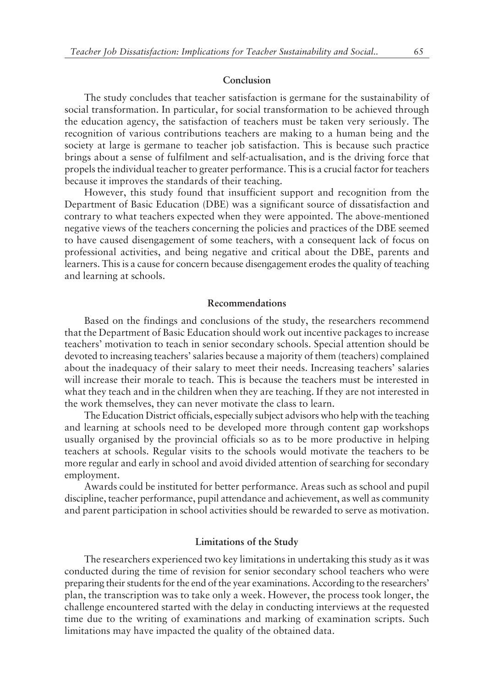#### **Conclusion**

The study concludes that teacher satisfaction is germane for the sustainability of social transformation. In particular, for social transformation to be achieved through the education agency, the satisfaction of teachers must be taken very seriously. The recognition of various contributions teachers are making to a human being and the society at large is germane to teacher job satisfaction. This is because such practice brings about a sense of fulfilment and self-actualisation, and is the driving force that propels the individual teacher to greater performance. This is a crucial factor for teachers because it improves the standards of their teaching.

However, this study found that insufficient support and recognition from the Department of Basic Education (DBE) was a significant source of dissatisfaction and contrary to what teachers expected when they were appointed. The above-mentioned negative views of the teachers concerning the policies and practices of the DBE seemed to have caused disengagement of some teachers, with a consequent lack of focus on professional activities, and being negative and critical about the DBE, parents and learners. This is a cause for concern because disengagement erodes the quality of teaching and learning at schools.

#### **Recommendations**

Based on the findings and conclusions of the study, the researchers recommend that the Department of Basic Education should work out incentive packages to increase teachersí motivation to teach in senior secondary schools. Special attention should be devoted to increasing teachers' salaries because a majority of them (teachers) complained about the inadequacy of their salary to meet their needs. Increasing teachers' salaries will increase their morale to teach. This is because the teachers must be interested in what they teach and in the children when they are teaching. If they are not interested in the work themselves, they can never motivate the class to learn.

The Education District officials, especially subject advisors who help with the teaching and learning at schools need to be developed more through content gap workshops usually organised by the provincial officials so as to be more productive in helping teachers at schools. Regular visits to the schools would motivate the teachers to be more regular and early in school and avoid divided attention of searching for secondary employment.

Awards could be instituted for better performance. Areas such as school and pupil discipline, teacher performance, pupil attendance and achievement, as well as community and parent participation in school activities should be rewarded to serve as motivation.

### **Limitations of the Study**

The researchers experienced two key limitations in undertaking this study as it was conducted during the time of revision for senior secondary school teachers who were preparing their students for the end of the year examinations. According to the researchersí plan, the transcription was to take only a week. However, the process took longer, the challenge encountered started with the delay in conducting interviews at the requested time due to the writing of examinations and marking of examination scripts. Such limitations may have impacted the quality of the obtained data.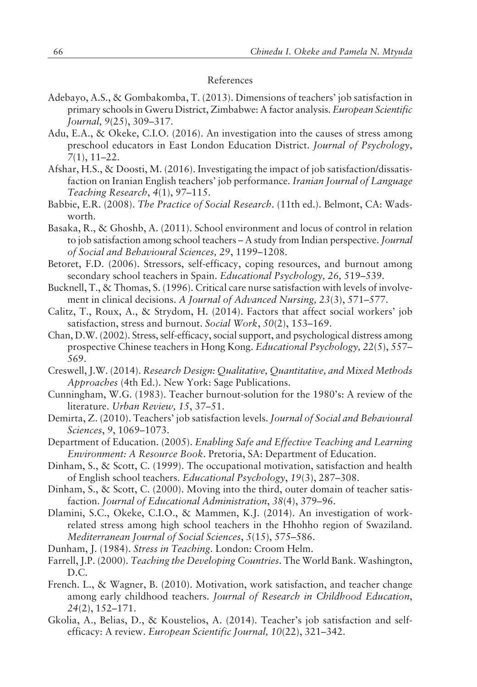## References

- Adebayo, A.S., & Gombakomba, T.  $(2013)$ . Dimensions of teachers' job satisfaction in primary schools in Gweru District, Zimbabwe: A factor analysis. *European Scientific Journal,* 9(25), 309–317.
- Adu, E.A., & Okeke, C.I.O. (2016). An investigation into the causes of stress among preschool educators in East London Education District. *Journal of Psychology*, *7*(1), 11–22.
- Afshar, H.S., & Doosti, M. (2016). Investigating the impact of job satisfaction/dissatisfaction on Iranian English teachers' job performance. *Iranian Journal of Language Teaching Research*,  $4(1)$ ,  $97-115$ .
- Babbie, E.R. (2008). *The Practice of Social Research*. (11th ed.). Belmont, CA: Wadsworth.
- Basaka, R., & Ghoshb, A. (2011). School environment and locus of control in relation to job satisfaction among school teachers ñ A study from Indian perspective. *Journal of Social and Behavioural Sciences, 29, 1199-1208.*
- Betoret, F.D. (2006). Stressors, self-efficacy, coping resources, and burnout among secondary school teachers in Spain. *Educational Psychology*, 26, 519-539.
- Bucknell, T., & Thomas, S. (1996). Critical care nurse satisfaction with levels of involvement in clinical decisions. *A Journal of Advanced Nursing*, 23(3), 571–577.
- Calitz, T., Roux, A., & Strydom, H.  $(2014)$ . Factors that affect social workers' job satisfaction, stress and burnout. *Social Work*,  $50(2)$ , 153-169.
- Chan, D.W. (2002). Stress, self-efficacy, social support, and psychological distress among prospective Chinese teachers in Hong Kong. *Educational Psychology*, 22(5), 557– 569.
- Creswell, J.W. (2014). *Research Design: Qualitative, Quantitative, and Mixed Methods Approaches* (4th Ed.). New York: Sage Publications.
- Cunningham, W.G. (1983). Teacher burnout-solution for the 1980's: A review of the literature. *Urban Review*, 15, 37-51.
- Demirta, Z. (2010). Teachersí job satisfaction levels. *Journal of Social and Behavioural Sciences*, 9, 1069-1073.
- Department of Education. (2005). *Enabling Safe and Effective Teaching and Learning Environment: A Resource Book*. Pretoria, SA: Department of Education.
- Dinham, S., & Scott, C. (1999). The occupational motivation, satisfaction and health of English school teachers. *Educational Psychology*, 19(3), 287–308.
- Dinham, S., & Scott, C. (2000). Moving into the third, outer domain of teacher satisfaction. *Journal of Educational Administration*, 38(4), 379-96.
- Dlamini, S.C., Okeke, C.I.O., & Mammen, K.J. (2014). An investigation of workrelated stress among high school teachers in the Hhohho region of Swaziland. *Mediterranean Journal of Social Sciences,* 5(15), 575–586.
- Dunham, J. (1984). *Stress in Teaching*. London: Croom Helm.
- Farrell, J.P. (2000). *Teaching the Developing Countries*. The World Bank. Washington, D.C.
- French. L., & Wagner, B. (2010). Motivation, work satisfaction, and teacher change among early childhood teachers. *Journal of Research in Childhood Education*, 24(2), 152-171.
- Gkolia, A., Belias, D., & Koustelios, A. (2014). Teacherís job satisfaction and selfefficacy: A review. *European Scientific Journal*, 10(22), 321-342.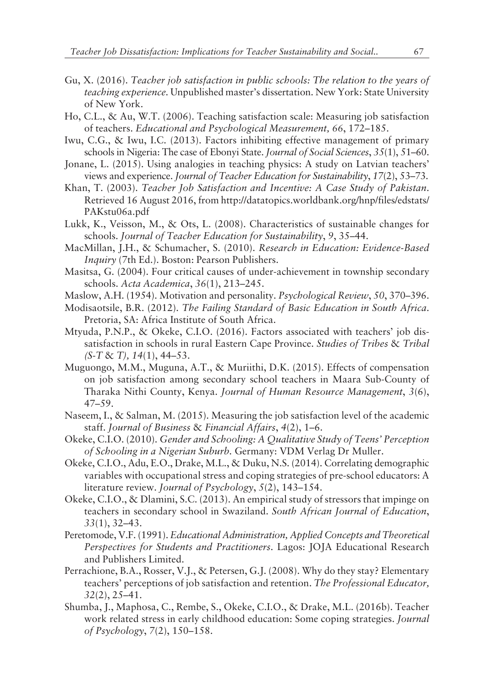- Gu, X. (2016). *Teacher job satisfaction in public schools: The relation to the years of* teaching experience. Unpublished master's dissertation. New York: State University of New York.
- Ho, C.L., & Au, W.T. (2006). Teaching satisfaction scale: Measuring job satisfaction of teachers. *Educational and Psychological Measurement*, 66, 172–185.
- Iwu, C.G., & Iwu, I.C. (2013). Factors inhibiting effective management of primary schools in Nigeria: The case of Ebonyi State. *Journal of Social Sciences*, 35(1), 51–60.
- Jonane, L. (2015). Using analogies in teaching physics: A study on Latvian teachers' views and experience. *Journal of Teacher Education for Sustainability*, 17(2), 53–73.
- Khan, T. (2003). *Teacher Job Satisfaction and Incentive: A Case Study of Pakistan*. Retrieved 16 August 2016, from http://datatopics.worldbank.org/hnp/files/edstats/ PAKstu06a.pdf
- Lukk, K., Veisson, M., & Ots, L. (2008). Characteristics of sustainable changes for schools. *Journal of Teacher Education for Sustainability*, 9, 35–44.
- MacMillan, J.H., & Schumacher, S. (2010). *Research in Education: Evidence-Based Inquiry* (7th Ed.). Boston: Pearson Publishers.
- Masitsa, G. (2004). Four critical causes of under-achievement in township secondary schools. *Acta Academica*, 36(1), 213-245.
- Maslow, A.H. (1954). Motivation and personality. *Psychological Review*, 50, 370–396.
- Modisaotsile, B.R. (2012). *The Failing Standard of Basic Education in South Africa*. Pretoria, SA: Africa Institute of South Africa.
- Mtyuda, P.N.P., & Okeke, C.I.O. (2016). Factors associated with teachers' job dissatisfaction in schools in rural Eastern Cape Province. *Studies of Tribes* & *Tribal (S-T & T), 14(1), 44–53.*
- Muguongo, M.M., Muguna, A.T., & Muriithi, D.K. (2015). Effects of compensation on job satisfaction among secondary school teachers in Maara Sub-County of Tharaka Nithi County, Kenya. *Journal of Human Resource Management*, *3*(6),  $47 - 59.$
- Naseem, I., & Salman, M. (2015). Measuring the job satisfaction level of the academic staff. *Journal of Business & Financial Affairs*, 4(2), 1–6.
- Okeke, C.I.O. (2010). *Gender and Schooling: A Qualitative Study of Teensí Perception of Schooling in a Nigerian Suburb.* Germany: VDM Verlag Dr Muller.
- Okeke, C.I.O., Adu, E.O., Drake, M.L., & Duku, N.S. (2014). Correlating demographic variables with occupational stress and coping strategies of pre-school educators: A literature review. *Journal of Psychology*, *5*(2), 143–154.
- Okeke, C.I.O., & Dlamini, S.C. (2013). An empirical study of stressors that impinge on teachers in secondary school in Swaziland. *South African Journal of Education*, 33(1), 32–43.
- Peretomode, V.F. (1991). *Educational Administration, Applied Concepts and Theoretical Perspectives for Students and Practitioners*. Lagos: JOJA Educational Research and Publishers Limited.
- Perrachione, B.A., Rosser, V.J., & Petersen, G.J. (2008). Why do they stay? Elementary teachersí perceptions of job satisfaction and retention. *The Professional Educator,* 32(2), 25–41.
- Shumba, J., Maphosa, C., Rembe, S., Okeke, C.I.O., & Drake, M.L. (2016b). Teacher work related stress in early childhood education: Some coping strategies. *Journal of Psychology*,  $7(2)$ , 150-158.